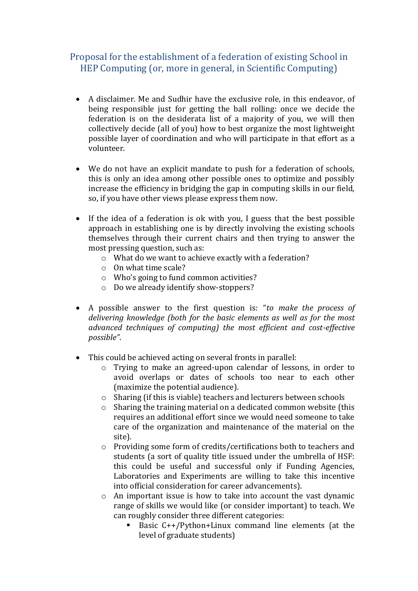## Proposal for the establishment of a federation of existing School in HEP Computing (or, more in general, in Scientific Computing)

- A disclaimer. Me and Sudhir have the exclusive role, in this endeavor, of being responsible just for getting the ball rolling: once we decide the federation is on the desiderata list of a majority of you, we will then collectively decide (all of you) how to best organize the most lightweight possible layer of coordination and who will participate in that effort as a volunteer.
- We do not have an explicit mandate to push for a federation of schools, this is only an idea among other possible ones to optimize and possibly increase the efficiency in bridging the gap in computing skills in our field, so, if you have other views please express them now.
- If the idea of a federation is ok with you, I guess that the best possible approach in establishing one is by directly involving the existing schools themselves through their current chairs and then trying to answer the most pressing question, such as:
	- o What do we want to achieve exactly with a federation?
	- o On what time scale?
	- o Who's going to fund common activities?
	- o Do we already identify show-stoppers?
- A possible answer to the first question is: "*to make the process of delivering knowledge (both for the basic elements as well as for the most advanced techniques of computing) the most efficient and cost-effective possible"*.
- This could be achieved acting on several fronts in parallel:
	- o Trying to make an agreed-upon calendar of lessons, in order to avoid overlaps or dates of schools too near to each other (maximize the potential audience).
	- o Sharing (if this is viable) teachers and lecturers between schools
	- o Sharing the training material on a dedicated common website (this requires an additional effort since we would need someone to take care of the organization and maintenance of the material on the site).
	- o Providing some form of credits/certifications both to teachers and students (a sort of quality title issued under the umbrella of HSF: this could be useful and successful only if Funding Agencies, Laboratories and Experiments are willing to take this incentive into official consideration for career advancements).
	- o An important issue is how to take into account the vast dynamic range of skills we would like (or consider important) to teach. We can roughly consider three different categories:
		- Basic C++/Python+Linux command line elements (at the level of graduate students)